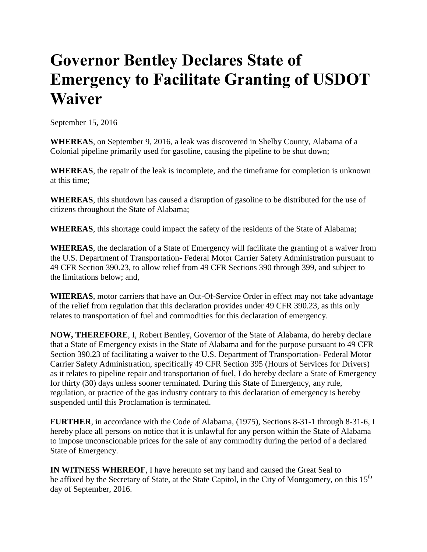## **Governor Bentley Declares State of Emergency to Facilitate Granting of USDOT Waiver**

September 15, 2016

**WHEREAS**, on September 9, 2016, a leak was discovered in Shelby County, Alabama of a Colonial pipeline primarily used for gasoline, causing the pipeline to be shut down;

**WHEREAS**, the repair of the leak is incomplete, and the timeframe for completion is unknown at this time;

**WHEREAS**, this shutdown has caused a disruption of gasoline to be distributed for the use of citizens throughout the State of Alabama;

**WHEREAS**, this shortage could impact the safety of the residents of the State of Alabama;

**WHEREAS**, the declaration of a State of Emergency will facilitate the granting of a waiver from the U.S. Department of Transportation- Federal Motor Carrier Safety Administration pursuant to 49 CFR Section 390.23, to allow relief from 49 CFR Sections 390 through 399, and subject to the limitations below; and,

**WHEREAS**, motor carriers that have an Out-Of-Service Order in effect may not take advantage of the relief from regulation that this declaration provides under 49 CFR 390.23, as this only relates to transportation of fuel and commodities for this declaration of emergency.

**NOW, THEREFORE**, I, Robert Bentley, Governor of the State of Alabama, do hereby declare that a State of Emergency exists in the State of Alabama and for the purpose pursuant to 49 CFR Section 390.23 of facilitating a waiver to the U.S. Department of Transportation- Federal Motor Carrier Safety Administration, specifically 49 CFR Section 395 (Hours of Services for Drivers) as it relates to pipeline repair and transportation of fuel, I do hereby declare a State of Emergency for thirty (30) days unless sooner terminated. During this State of Emergency, any rule, regulation, or practice of the gas industry contrary to this declaration of emergency is hereby suspended until this Proclamation is terminated.

**FURTHER**, in accordance with the Code of Alabama, (1975), Sections 8-31-1 through 8-31-6, I hereby place all persons on notice that it is unlawful for any person within the State of Alabama to impose unconscionable prices for the sale of any commodity during the period of a declared State of Emergency.

**IN WITNESS WHEREOF**, I have hereunto set my hand and caused the Great Seal to be affixed by the Secretary of State, at the State Capitol, in the City of Montgomery, on this 15<sup>th</sup> day of September, 2016.